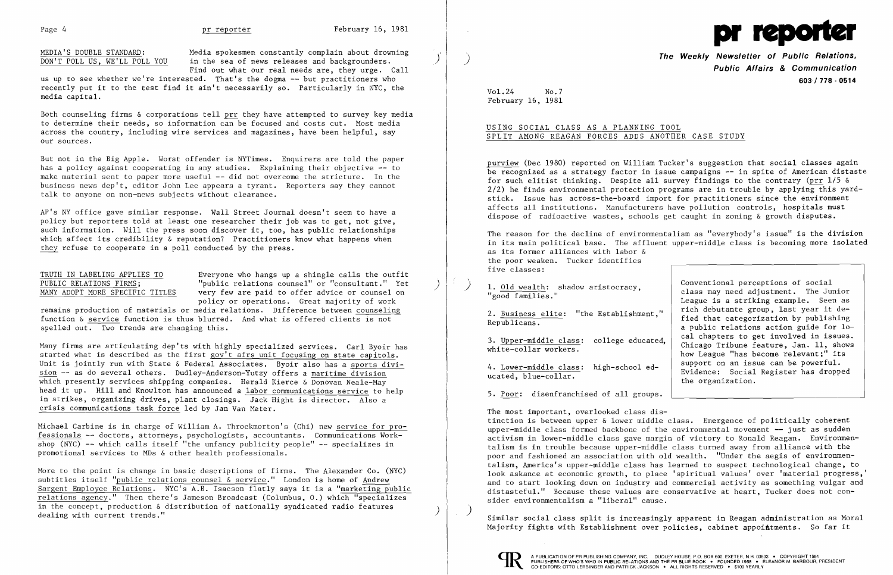MEDIA'S DOUBLE STANDARD:<br>
DON'T POLL US, WE'LL POLL YOU in the sea of news releases and backgrounders. in the sea of news releases and backgrounders. Find out what our real needs are, they urge. Call

us up to see whether we're interested. That's the dogma -- but practitioners who recently put it to the test find it ain't necessarily so. Particularly in NYC, the media capital.

Both counseling firms & corporations tell prr they have attempted to survey key media to determine their needs, so information can be focused and costs cut. Most media across the country, including wire services and magazines, have been helpful, say our sources.

TRUTH IN LABELING APPLIES TO<br>
PUBLIC RELATIONS FIRMS; The Mathematic relations counsel" or "consultant." Yet PUBLIC RELATIONS FIRMS;<br>MANY ADOPT MORE SPECIFIC TITLES very few are paid to offer advice or counsel on policy or operations. Great majority of work

But not in the Big Apple. Worst offender is NYTimes. Enquirers are told the paper has a policy against cooperating in any studies. Explaining their objective -- to make material sent to paper more useful -- did not overcome the stricture. In the business news dep't, editor John Lee appears a tyrant. Reporters say they cannot talk to anyone on non-news subjects without clearance.

AP's NY office gave similar response. Wall Street Journal doesn't seem to have a policy but reporters told at least one researcher their job was to get, not give, such information. Will the press soon discover it, too, has public relationships which affect its credibility & reputation? Practitioners know what happens when they refuse to cooperate in a poll conducted by the press.

More to the point is change in basic descriptions of firms. The Alexander Co. (NYC) subtitles itself "public relations counsel & service." London is home of Andrew Sargent Employee Relations. NYC's A.B. Isacson flatly says it is a "marketing public relations agency." Then there's Jameson Broadcast (Columbus, 0.) which "specializes in the concept, production  $\delta$  distribution of nationally syndicated radio features dealing with current trends."

**The Weekly Newsletter of Public Relations, Public Affairs & Communication 603/778 - 0514** 

1. Old wealth: shadow aristocracy,<br>"good families." <br>Conventional perceptions of social<br>class may need adjustment. The Junior<br>League is a striking example. Seen as<br>rich debutante group, last year it de-2. Business elite: "the Establishment," fich debutante group, last year it de-<br>Republicans.  $\begin{array}{c|c} \hline \text{Equation} & \text{Equation} & \text{Equation} \\ \hline \text{Equation} & \text{Equation} & \text{Equation} \\ \hline \end{array}$ 3. Upper-middle class: college educated, college class chicago Tribune feature, Jan. 11, shows how League "has become relevant;" its 4. Lower-middle class: high-school ed-<br>ucated, blue-collar. the organization.

remains production of materials or media relations. Difference between counseling function & service function is thus blurred. And what is offered clients is not spelled out. Two trends are changing this.

Many firms are articulating dep'ts with highly specialized services. Carl Byoir has started what is described as the first gov't afrs unit focusing on state capitols. Unit is jointly run with State & Federal Associates. Byoir also has a sports division -- as do several others. Dudley-Anderson-Yutzy offers a maritime division which presently services shipping companies. Herald Kierce & Donovan Neale-May head it up. Hill and Knowlton has announced a labor communications service to help in strikes, organizing drives, plant closings. Jack Hight is director. Also a crisis communications task force led by Jan Van Meter.

Michael Carbine is in charge of William A. Throckmorton's (Chi) new service for professionals -- doctors, attorneys, psychologists, accountants. Communications Workshop (NYC) -- which calls itself "the unfancy publicity people" -- specializes in promotional services to MDs & other health professionals.

> ) Similar social class split is increasingly apparent in Reagan administration as Moral Majority fights with Establishment over policies, cabinet appointments. So far it





Vol.24 No.7 February 16, 1981

# USING SOCIAL CLASS AS A PLANNING TOOL SPLIT AMONG REAGAN FORCES ADDS ANOTHER CASE STUDY

purview (Dec 1980) reported on William Tucker's suggestion that social classes again be recognized as a strategy factor in issue campaigns -- in spite of American distaste for such elitist thinking. Despite all survey findings to the contrary (prr  $1/5$  & 2/2) he finds environmental protection programs are in trouble by applying this yardstick. Issue has across-the-board import for practitioners since the environment affects all institutions. Manufacturers have pollution controls, hospitals must dispose of radioactive wastes, schools get caught in zoning & growth disputes.

The reason for the decline of environmentalism as "everybody's issue" is the division in its main political base. The affluent upper-middle class is becoming more isolated as its former alliances with labor & the poor weaken. Tucker identifies five classes:

5. Poor: disenfranchised of all groups.

The most important, overlooked class distinction is between upper & lower middle class. Emergence of politically coherent upper-middle class formed backbone of the environmental movement -- just as sudden activism in lower-middle class gave margin of victory to Ronald Reagan. Environmentalism is in trouble because upper-middle class turned away from alliance with the poor and fashioned an association with old wealth. "Under the aegis of environmentalism, America's upper-middle class has learned to suspect technological change, to look askance at economic growth, to place 'spiritual values' over 'material progress,' and to start looking down on industry and commercial activity as something vulgar and distasteful." Because these values are conservative at heart, Tucker does not consider environmentalism a "liberal" cause.